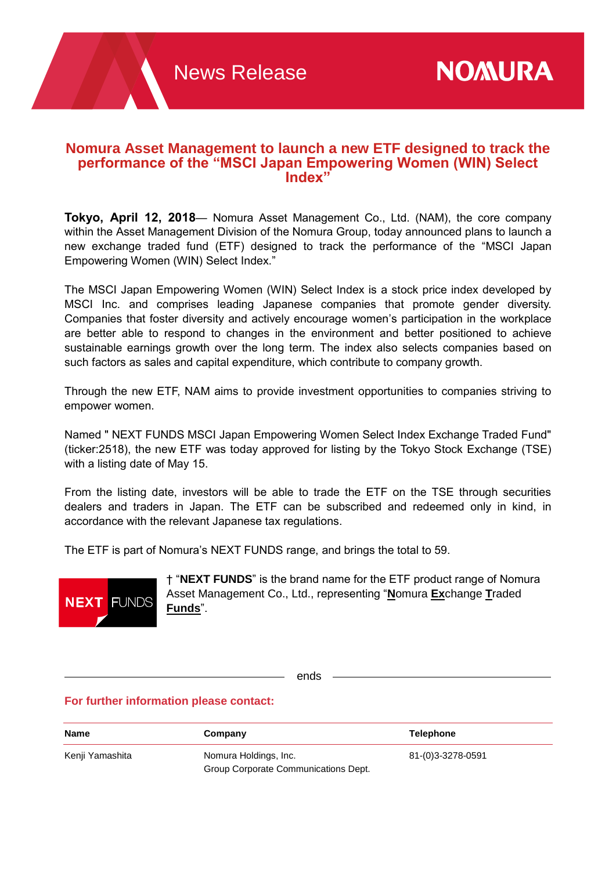# **Nomura Asset Management to launch a new ETF designed to track the performance of the "MSCI Japan Empowering Women (WIN) Select Index"**

**Tokyo, April 12, 2018**— Nomura Asset Management Co., Ltd. (NAM), the core company within the Asset Management Division of the Nomura Group, today announced plans to launch a new exchange traded fund (ETF) designed to track the performance of the "MSCI Japan Empowering Women (WIN) Select Index."

The MSCI Japan Empowering Women (WIN) Select Index is a stock price index developed by MSCI Inc. and comprises leading Japanese companies that promote gender diversity. Companies that foster diversity and actively encourage women's participation in the workplace are better able to respond to changes in the environment and better positioned to achieve sustainable earnings growth over the long term. The index also selects companies based on such factors as sales and capital expenditure, which contribute to company growth.

Through the new ETF, NAM aims to provide investment opportunities to companies striving to empower women.

Named " NEXT FUNDS MSCI Japan Empowering Women Select Index Exchange Traded Fund" (ticker:2518), the new ETF was today approved for listing by the Tokyo Stock Exchange (TSE) with a listing date of May 15.

From the listing date, investors will be able to trade the ETF on the TSE through securities dealers and traders in Japan. The ETF can be subscribed and redeemed only in kind, in accordance with the relevant Japanese tax regulations.

The ETF is part of Nomura's NEXT FUNDS range, and brings the total to 59.



† "**NEXT FUNDS**" is the brand name for the ETF product range of Nomura Asset Management Co., Ltd., representing "**N**omura **Ex**change **T**raded **Funds**".

ends

# **For further information please contact:**

| Name            | Company                                                       | <b>Telephone</b>  |
|-----------------|---------------------------------------------------------------|-------------------|
| Kenji Yamashita | Nomura Holdings, Inc.<br>Group Corporate Communications Dept. | 81-(0)3-3278-0591 |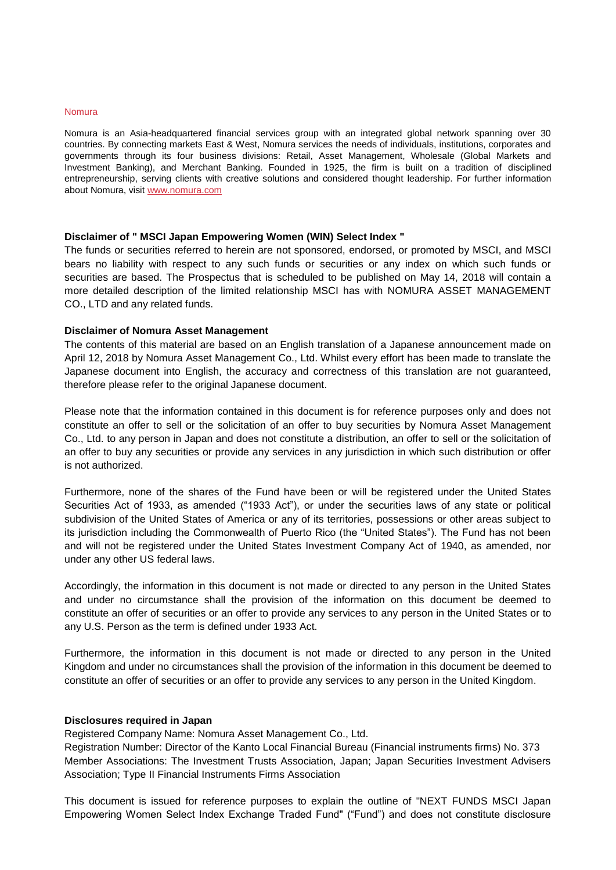#### Nomura

Nomura is an Asia-headquartered financial services group with an integrated global network spanning over 30 countries. By connecting markets East & West, Nomura services the needs of individuals, institutions, corporates and governments through its four business divisions: Retail, Asset Management, Wholesale (Global Markets and Investment Banking), and Merchant Banking. Founded in 1925, the firm is built on a tradition of disciplined entrepreneurship, serving clients with creative solutions and considered thought leadership. For further information about Nomura, visit [www.nomura.com](http://www.nomura.com/)

### **Disclaimer of " MSCI Japan Empowering Women (WIN) Select Index "**

The funds or securities referred to herein are not sponsored, endorsed, or promoted by MSCI, and MSCI bears no liability with respect to any such funds or securities or any index on which such funds or securities are based. The Prospectus that is scheduled to be published on May 14, 2018 will contain a more detailed description of the limited relationship MSCI has with NOMURA ASSET MANAGEMENT CO., LTD and any related funds.

### **Disclaimer of Nomura Asset Management**

The contents of this material are based on an English translation of a Japanese announcement made on April 12, 2018 by Nomura Asset Management Co., Ltd. Whilst every effort has been made to translate the Japanese document into English, the accuracy and correctness of this translation are not guaranteed, therefore please refer to the original Japanese document.

Please note that the information contained in this document is for reference purposes only and does not constitute an offer to sell or the solicitation of an offer to buy securities by Nomura Asset Management Co., Ltd. to any person in Japan and does not constitute a distribution, an offer to sell or the solicitation of an offer to buy any securities or provide any services in any jurisdiction in which such distribution or offer is not authorized.

Furthermore, none of the shares of the Fund have been or will be registered under the United States Securities Act of 1933, as amended ("1933 Act"), or under the securities laws of any state or political subdivision of the United States of America or any of its territories, possessions or other areas subject to its jurisdiction including the Commonwealth of Puerto Rico (the "United States"). The Fund has not been and will not be registered under the United States Investment Company Act of 1940, as amended, nor under any other US federal laws.

Accordingly, the information in this document is not made or directed to any person in the United States and under no circumstance shall the provision of the information on this document be deemed to constitute an offer of securities or an offer to provide any services to any person in the United States or to any U.S. Person as the term is defined under 1933 Act.

Furthermore, the information in this document is not made or directed to any person in the United Kingdom and under no circumstances shall the provision of the information in this document be deemed to constitute an offer of securities or an offer to provide any services to any person in the United Kingdom.

### **Disclosures required in Japan**

Registered Company Name: Nomura Asset Management Co., Ltd.

Registration Number: Director of the Kanto Local Financial Bureau (Financial instruments firms) No. 373 Member Associations: The Investment Trusts Association, Japan; Japan Securities Investment Advisers Association; Type II Financial Instruments Firms Association

This document is issued for reference purposes to explain the outline of "NEXT FUNDS MSCI Japan Empowering Women Select Index Exchange Traded Fund" ("Fund") and does not constitute disclosure